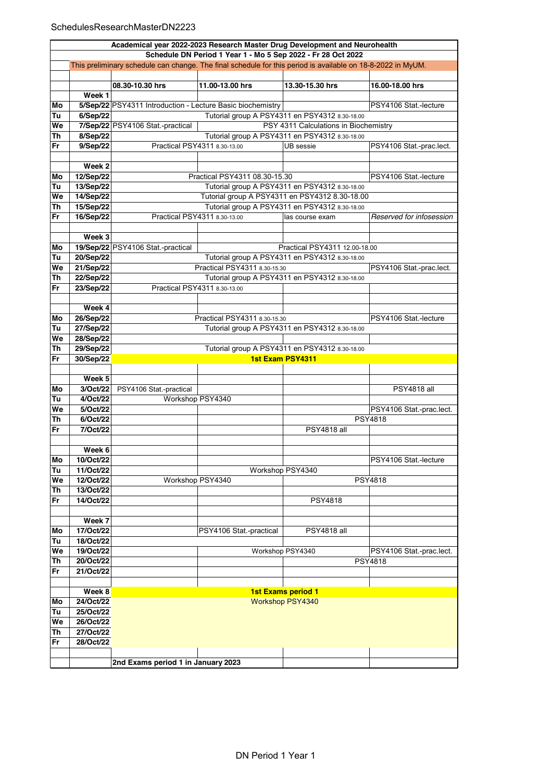|          | Academical year 2022-2023 Research Master Drug Development and Neurohealth                                  |                                                                                |                                                |                                                |                          |  |  |  |
|----------|-------------------------------------------------------------------------------------------------------------|--------------------------------------------------------------------------------|------------------------------------------------|------------------------------------------------|--------------------------|--|--|--|
|          | Schedule DN Period 1 Year 1 - Mo 5 Sep 2022 - Fr 28 Oct 2022                                                |                                                                                |                                                |                                                |                          |  |  |  |
|          | This preliminary schedule can change. The final schedule for this period is available on 18-8-2022 in MyUM. |                                                                                |                                                |                                                |                          |  |  |  |
|          |                                                                                                             | 08.30-10.30 hrs                                                                | 11.00-13.00 hrs                                | 13.30-15.30 hrs                                | 16.00-18.00 hrs          |  |  |  |
|          | Week 1                                                                                                      |                                                                                |                                                |                                                |                          |  |  |  |
|          |                                                                                                             |                                                                                |                                                |                                                | PSY4106 Stat.-lecture    |  |  |  |
| Mo       |                                                                                                             | 5/Sep/22 PSY4311 Introduction - Lecture Basic biochemistry                     |                                                |                                                |                          |  |  |  |
| Tu       | 6/Sep/22                                                                                                    |                                                                                |                                                | Tutorial group A PSY4311 en PSY4312 8.30-18.00 |                          |  |  |  |
| We       |                                                                                                             | 7/Sep/22 PSY4106 Stat.-practical                                               |                                                | PSY 4311 Calculations in Biochemistry          |                          |  |  |  |
| Th       | 8/Sep/22                                                                                                    | Tutorial group A PSY4311 en PSY4312 8.30-18.00<br>Practical PSY4311 8.30-13.00 |                                                |                                                |                          |  |  |  |
| Fr       | 9/Sep/22                                                                                                    |                                                                                |                                                | UB sessie                                      | PSY4106 Stat.-prac.lect. |  |  |  |
|          | Week 2                                                                                                      |                                                                                |                                                |                                                |                          |  |  |  |
| Mo       | 12/Sep/22                                                                                                   |                                                                                | Practical PSY4311 08.30-15.30                  |                                                | PSY4106 Stat.-lecture    |  |  |  |
| Tu       | 13/Sep/22                                                                                                   |                                                                                |                                                | Tutorial group A PSY4311 en PSY4312 8.30-18.00 |                          |  |  |  |
| We       | 14/Sep/22                                                                                                   |                                                                                | Tutorial group A PSY4311 en PSY4312 8.30-18.00 |                                                |                          |  |  |  |
| Th       | 15/Sep/22                                                                                                   |                                                                                |                                                | Tutorial group A PSY4311 en PSY4312 8.30-18.00 |                          |  |  |  |
| Fr       |                                                                                                             |                                                                                | Practical PSY4311 8.30-13.00                   |                                                | Reserved for infosession |  |  |  |
|          | 16/Sep/22                                                                                                   |                                                                                |                                                | las course exam                                |                          |  |  |  |
|          | Week 3                                                                                                      |                                                                                |                                                |                                                |                          |  |  |  |
|          |                                                                                                             | 19/Sep/22 PSY4106 Stat.-practical                                              |                                                | Practical PSY4311 12.00-18.00                  |                          |  |  |  |
| Mo<br>Tu | 20/Sep/22                                                                                                   |                                                                                |                                                | Tutorial group A PSY4311 en PSY4312 8.30-18.00 |                          |  |  |  |
| We       | 21/Sep/22                                                                                                   |                                                                                | Practical PSY4311 8.30-15.30                   |                                                |                          |  |  |  |
|          |                                                                                                             |                                                                                |                                                | Tutorial group A PSY4311 en PSY4312 8.30-18.00 | PSY4106 Stat.-prac.lect. |  |  |  |
| Th       | 22/Sep/22                                                                                                   |                                                                                |                                                |                                                |                          |  |  |  |
| Fr       | 23/Sep/22                                                                                                   |                                                                                | Practical PSY4311 8.30-13.00                   |                                                |                          |  |  |  |
|          |                                                                                                             |                                                                                |                                                |                                                |                          |  |  |  |
|          | Week 4                                                                                                      |                                                                                |                                                |                                                |                          |  |  |  |
| Mo       | 26/Sep/22                                                                                                   |                                                                                | Practical PSY4311 8.30-15.30                   |                                                | PSY4106 Stat.-lecture    |  |  |  |
| Tu       | 27/Sep/22                                                                                                   |                                                                                | Tutorial group A PSY4311 en PSY4312 8.30-18.00 |                                                |                          |  |  |  |
| We       | 28/Sep/22                                                                                                   |                                                                                |                                                |                                                |                          |  |  |  |
| Th       | 29/Sep/22                                                                                                   |                                                                                | Tutorial group A PSY4311 en PSY4312 8.30-18.00 |                                                |                          |  |  |  |
| Fr       | 30/Sep/22                                                                                                   | <b>1st Exam PSY4311</b>                                                        |                                                |                                                |                          |  |  |  |
|          |                                                                                                             |                                                                                |                                                |                                                |                          |  |  |  |
|          | Week 5                                                                                                      |                                                                                |                                                |                                                |                          |  |  |  |
| Mo       | 3/Oct/22                                                                                                    | PSY4106 Stat.-practical                                                        |                                                |                                                | <b>PSY4818 all</b>       |  |  |  |
| Tu       | 4/Oct/22                                                                                                    |                                                                                | Workshop PSY4340                               |                                                |                          |  |  |  |
| We       | 5/Oct/22                                                                                                    |                                                                                |                                                |                                                | PSY4106 Stat.-prac.lect. |  |  |  |
| Th       | 6/Oct/22                                                                                                    |                                                                                |                                                |                                                | <b>PSY4818</b>           |  |  |  |
| Fr       | 7/Oct/22                                                                                                    |                                                                                |                                                | <b>PSY4818 all</b>                             |                          |  |  |  |
|          |                                                                                                             |                                                                                |                                                |                                                |                          |  |  |  |
|          | Week 6<br>10/Oct/22                                                                                         |                                                                                |                                                |                                                | PSY4106 Stat.-lecture    |  |  |  |
| Mo       |                                                                                                             |                                                                                |                                                |                                                |                          |  |  |  |
| Tu<br>We | 11/Oct/22<br>12/Oct/22                                                                                      |                                                                                | Workshop PSY4340                               | Workshop PSY4340                               | <b>PSY4818</b>           |  |  |  |
|          |                                                                                                             |                                                                                |                                                |                                                |                          |  |  |  |
| Th       | 13/Oct/22                                                                                                   |                                                                                |                                                |                                                |                          |  |  |  |
| Fr       | 14/Oct/22                                                                                                   |                                                                                |                                                | PSY4818                                        |                          |  |  |  |
|          |                                                                                                             |                                                                                |                                                |                                                |                          |  |  |  |
|          | Week 7                                                                                                      |                                                                                |                                                |                                                |                          |  |  |  |
| Mo       | 17/Oct/22                                                                                                   |                                                                                | PSY4106 Stat -practical                        | <b>PSY4818 all</b>                             |                          |  |  |  |
| Tu       | 18/Oct/22                                                                                                   |                                                                                |                                                |                                                |                          |  |  |  |
| We       | 19/Oct/22                                                                                                   |                                                                                |                                                | Workshop PSY4340                               | PSY4106 Stat.-prac.lect. |  |  |  |
| Th       | 20/Oct/22                                                                                                   |                                                                                |                                                |                                                | <b>PSY4818</b>           |  |  |  |
| Fr       | 21/Oct/22                                                                                                   |                                                                                |                                                |                                                |                          |  |  |  |
|          |                                                                                                             |                                                                                |                                                |                                                |                          |  |  |  |
|          | Week 8                                                                                                      |                                                                                |                                                | <b>1st Exams period 1</b>                      |                          |  |  |  |
| Mo       | 24/Oct/22                                                                                                   |                                                                                |                                                | Workshop PSY4340                               |                          |  |  |  |
| Tu       | 25/Oct/22                                                                                                   |                                                                                |                                                |                                                |                          |  |  |  |
| We       | 26/Oct/22                                                                                                   |                                                                                |                                                |                                                |                          |  |  |  |
| Th       | 27/Oct/22                                                                                                   |                                                                                |                                                |                                                |                          |  |  |  |
| Fr       | 28/Oct/22                                                                                                   |                                                                                |                                                |                                                |                          |  |  |  |
|          |                                                                                                             |                                                                                |                                                |                                                |                          |  |  |  |
|          |                                                                                                             | 2nd Exams period 1 in January 2023                                             |                                                |                                                |                          |  |  |  |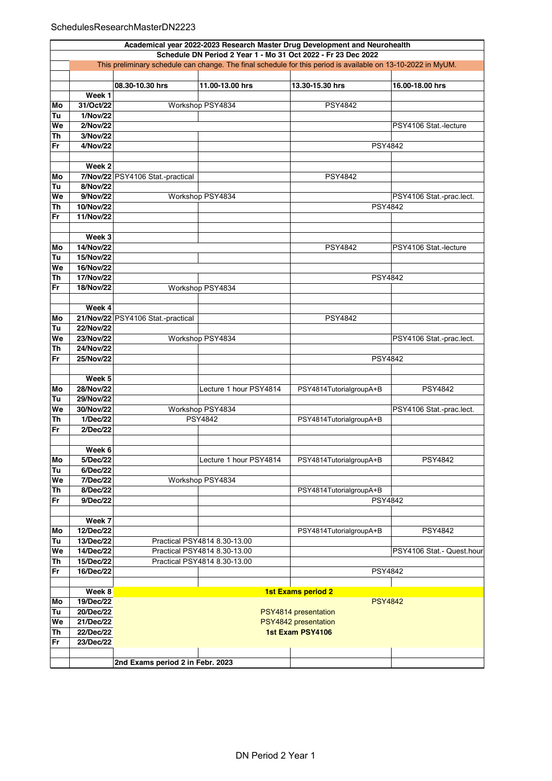## SchedulesResearchMasterDN2223

|          | Academical year 2022-2023 Research Master Drug Development and Neurohealth                                                                                                    |                                                                                            |                              |                         |                          |  |  |  |
|----------|-------------------------------------------------------------------------------------------------------------------------------------------------------------------------------|--------------------------------------------------------------------------------------------|------------------------------|-------------------------|--------------------------|--|--|--|
|          | Schedule DN Period 2 Year 1 - Mo 31 Oct 2022 - Fr 23 Dec 2022<br>This preliminary schedule can change. The final schedule for this period is available on 13-10-2022 in MyUM. |                                                                                            |                              |                         |                          |  |  |  |
|          |                                                                                                                                                                               |                                                                                            |                              |                         |                          |  |  |  |
|          |                                                                                                                                                                               | 08.30-10.30 hrs                                                                            | 11.00-13.00 hrs              | 13.30-15.30 hrs         | 16.00-18.00 hrs          |  |  |  |
|          | Week 1                                                                                                                                                                        |                                                                                            |                              |                         |                          |  |  |  |
|          | 31/Oct/22                                                                                                                                                                     |                                                                                            | Workshop PSY4834             | <b>PSY4842</b>          |                          |  |  |  |
| Mo       |                                                                                                                                                                               |                                                                                            |                              |                         |                          |  |  |  |
| Tu       | 1/Nov/22                                                                                                                                                                      |                                                                                            |                              |                         |                          |  |  |  |
| We       | 2/Nov/22                                                                                                                                                                      |                                                                                            |                              |                         | PSY4106 Stat.-lecture    |  |  |  |
| Th<br>Fr | 3/Nov/22<br>4/Nov/22                                                                                                                                                          |                                                                                            |                              | <b>PSY4842</b>          |                          |  |  |  |
|          |                                                                                                                                                                               |                                                                                            |                              |                         |                          |  |  |  |
|          | Week 2                                                                                                                                                                        |                                                                                            |                              |                         |                          |  |  |  |
| Mo       |                                                                                                                                                                               | 7/Nov/22 PSY4106 Stat.-practical                                                           |                              | <b>PSY4842</b>          |                          |  |  |  |
| Tu       | 8/Nov/22                                                                                                                                                                      |                                                                                            |                              |                         |                          |  |  |  |
| We       | 9/Nov/22                                                                                                                                                                      |                                                                                            | Workshop PSY4834             |                         | PSY4106 Stat.-prac.lect. |  |  |  |
| Th       | 10/Nov/22                                                                                                                                                                     |                                                                                            |                              | <b>PSY4842</b>          |                          |  |  |  |
| Fr       | 11/Nov/22                                                                                                                                                                     |                                                                                            |                              |                         |                          |  |  |  |
|          |                                                                                                                                                                               |                                                                                            |                              |                         |                          |  |  |  |
|          | Week 3                                                                                                                                                                        |                                                                                            |                              |                         |                          |  |  |  |
| Mo       | 14/Nov/22                                                                                                                                                                     |                                                                                            |                              | <b>PSY4842</b>          | PSY4106 Stat.-lecture    |  |  |  |
| Tu       | 15/Nov/22                                                                                                                                                                     |                                                                                            |                              |                         |                          |  |  |  |
| We       | 16/Nov/22                                                                                                                                                                     |                                                                                            |                              |                         |                          |  |  |  |
| Th       | 17/Nov/22                                                                                                                                                                     |                                                                                            |                              | <b>PSY4842</b>          |                          |  |  |  |
| Fr       | 18/Nov/22                                                                                                                                                                     |                                                                                            | Workshop PSY4834             |                         |                          |  |  |  |
|          |                                                                                                                                                                               |                                                                                            |                              |                         |                          |  |  |  |
|          | Week 4                                                                                                                                                                        |                                                                                            |                              |                         |                          |  |  |  |
| Mo       |                                                                                                                                                                               | 21/Nov/22 PSY4106 Stat.-practical                                                          |                              | <b>PSY4842</b>          |                          |  |  |  |
| Tu       | 22/Nov/22                                                                                                                                                                     |                                                                                            |                              |                         |                          |  |  |  |
| We       | 23/Nov/22                                                                                                                                                                     |                                                                                            | Workshop PSY4834             |                         | PSY4106 Stat -prac.lect. |  |  |  |
| Th       | 24/Nov/22                                                                                                                                                                     |                                                                                            |                              |                         |                          |  |  |  |
| Fr       | 25/Nov/22                                                                                                                                                                     | PSY4842                                                                                    |                              |                         |                          |  |  |  |
|          |                                                                                                                                                                               |                                                                                            |                              |                         |                          |  |  |  |
|          | Week 5                                                                                                                                                                        |                                                                                            |                              |                         |                          |  |  |  |
| Mo       | 28/Nov/22                                                                                                                                                                     |                                                                                            | Lecture 1 hour PSY4814       | PSY4814TutorialgroupA+B | <b>PSY4842</b>           |  |  |  |
| Tu       | 29/Nov/22                                                                                                                                                                     |                                                                                            |                              |                         |                          |  |  |  |
| We       | 30/Nov/22                                                                                                                                                                     |                                                                                            | Workshop PSY4834             |                         | PSY4106 Stat.-prac.lect. |  |  |  |
| Th       | 1/Dec/22                                                                                                                                                                      |                                                                                            | PSY4842                      | PSY4814TutorialgroupA+B |                          |  |  |  |
| Fr       | 2/Dec/22                                                                                                                                                                      |                                                                                            |                              |                         |                          |  |  |  |
|          |                                                                                                                                                                               |                                                                                            |                              |                         |                          |  |  |  |
|          | Week 6                                                                                                                                                                        |                                                                                            |                              |                         |                          |  |  |  |
| Mo       | 5/Dec/22                                                                                                                                                                      |                                                                                            | Lecture 1 hour PSY4814       | PSY4814TutorialgroupA+B | <b>PSY4842</b>           |  |  |  |
| Tu       | 6/Dec/22                                                                                                                                                                      |                                                                                            |                              |                         |                          |  |  |  |
| We       | 7/Dec/22                                                                                                                                                                      |                                                                                            | Workshop PSY4834             |                         |                          |  |  |  |
| Th       | 8/Dec/22                                                                                                                                                                      |                                                                                            |                              | PSY4814TutorialgroupA+B |                          |  |  |  |
| Fr       | 9/Dec/22                                                                                                                                                                      |                                                                                            |                              | <b>PSY4842</b>          |                          |  |  |  |
|          |                                                                                                                                                                               |                                                                                            |                              |                         |                          |  |  |  |
|          | Week 7                                                                                                                                                                        |                                                                                            |                              |                         |                          |  |  |  |
| Mo       | 12/Dec/22                                                                                                                                                                     |                                                                                            |                              | PSY4814TutorialgroupA+B | <b>PSY4842</b>           |  |  |  |
| Tu       | 13/Dec/22                                                                                                                                                                     |                                                                                            | Practical PSY4814 8.30-13.00 |                         |                          |  |  |  |
| We       | 14/Dec/22                                                                                                                                                                     | Practical PSY4814 8.30-13.00<br>PSY4106 Stat. - Quest.hour<br>Practical PSY4814 8.30-13.00 |                              |                         |                          |  |  |  |
| Th       | 15/Dec/22                                                                                                                                                                     |                                                                                            |                              |                         |                          |  |  |  |
| Fr       | 16/Dec/22                                                                                                                                                                     |                                                                                            |                              | <b>PSY4842</b>          |                          |  |  |  |
|          |                                                                                                                                                                               |                                                                                            |                              |                         |                          |  |  |  |
|          | Week 8<br>19/Dec/22                                                                                                                                                           | 1st Exams period 2<br><b>PSY4842</b>                                                       |                              |                         |                          |  |  |  |
| Mo<br>Tu | 20/Dec/22                                                                                                                                                                     |                                                                                            |                              |                         |                          |  |  |  |
| We       | 21/Dec/22                                                                                                                                                                     | PSY4814 presentation                                                                       |                              |                         |                          |  |  |  |
| Th       | 22/Dec/22                                                                                                                                                                     | PSY4842 presentation<br>1st Exam PSY4106                                                   |                              |                         |                          |  |  |  |
| Fr       | 23/Dec/22                                                                                                                                                                     |                                                                                            |                              |                         |                          |  |  |  |
|          |                                                                                                                                                                               |                                                                                            |                              |                         |                          |  |  |  |
|          |                                                                                                                                                                               | 2nd Exams period 2 in Febr. 2023                                                           |                              |                         |                          |  |  |  |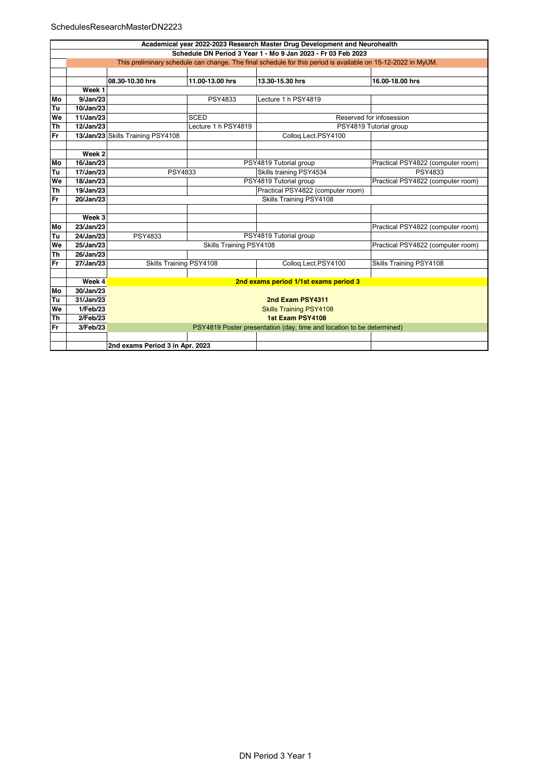|           | Academical year 2022-2023 Research Master Drug Development and Neurohealth                                   |                                   |                         |                                                                       |                                   |  |  |  |
|-----------|--------------------------------------------------------------------------------------------------------------|-----------------------------------|-------------------------|-----------------------------------------------------------------------|-----------------------------------|--|--|--|
|           | Schedule DN Period 3 Year 1 - Mo 9 Jan 2023 - Fr 03 Feb 2023                                                 |                                   |                         |                                                                       |                                   |  |  |  |
|           | This preliminary schedule can change. The final schedule for this period is available on 15-12-2022 in MyUM. |                                   |                         |                                                                       |                                   |  |  |  |
|           |                                                                                                              |                                   |                         |                                                                       |                                   |  |  |  |
|           |                                                                                                              | 08.30-10.30 hrs                   | 11.00-13.00 hrs         | 13.30-15.30 hrs                                                       | 16.00-18.00 hrs                   |  |  |  |
|           | Week 1                                                                                                       |                                   |                         |                                                                       |                                   |  |  |  |
| Mo        | 9/Jan/23                                                                                                     |                                   | PSY4833                 | Lecture 1 h PSY4819                                                   |                                   |  |  |  |
| Tu        | 10/Jan/23                                                                                                    |                                   |                         |                                                                       |                                   |  |  |  |
| We        | 11/Jan/23                                                                                                    |                                   | <b>SCED</b>             |                                                                       | Reserved for infosession          |  |  |  |
| Th        | 12/Jan/23                                                                                                    |                                   | Lecture 1 h PSY4819     |                                                                       | PSY4819 Tutorial group            |  |  |  |
| Fr        |                                                                                                              | 13/Jan/23 Skills Training PSY4108 |                         | Collog.Lect.PSY4100                                                   |                                   |  |  |  |
|           |                                                                                                              |                                   |                         |                                                                       |                                   |  |  |  |
|           | Week <sub>2</sub>                                                                                            |                                   |                         |                                                                       |                                   |  |  |  |
| Mo        | 16/Jan/23                                                                                                    |                                   |                         | PSY4819 Tutorial group                                                | Practical PSY4822 (computer room) |  |  |  |
| Tu        | 17/Jan/23                                                                                                    | PSY4833                           |                         | Skills training PSY4534                                               | PSY4833                           |  |  |  |
| We        | 18/Jan/23                                                                                                    | PSY4819 Tutorial group            |                         |                                                                       | Practical PSY4822 (computer room) |  |  |  |
| <b>Th</b> | 19/Jan/23                                                                                                    | Practical PSY4822 (computer room) |                         |                                                                       |                                   |  |  |  |
| Fr        | 20/Jan/23                                                                                                    | Skills Training PSY4108           |                         |                                                                       |                                   |  |  |  |
|           |                                                                                                              |                                   |                         |                                                                       |                                   |  |  |  |
|           | Week 3                                                                                                       |                                   |                         |                                                                       |                                   |  |  |  |
| Mo        | 23/Jan/23                                                                                                    |                                   |                         |                                                                       | Practical PSY4822 (computer room) |  |  |  |
| Tu        | 24/Jan/23                                                                                                    | PSY4833                           |                         | PSY4819 Tutorial group                                                |                                   |  |  |  |
| We        | 25/Jan/23                                                                                                    |                                   | Skills Training PSY4108 |                                                                       | Practical PSY4822 (computer room) |  |  |  |
| Th        | 26/Jan/23                                                                                                    |                                   |                         |                                                                       |                                   |  |  |  |
| Fr        | 27/Jan/23                                                                                                    | Skills Training PSY4108           |                         | Collog.Lect.PSY4100                                                   | Skills Training PSY4108           |  |  |  |
|           |                                                                                                              |                                   |                         |                                                                       |                                   |  |  |  |
|           | Week 4                                                                                                       |                                   |                         | 2nd exams period 1/1st exams period 3                                 |                                   |  |  |  |
| Mo        | 30/Jan/23                                                                                                    |                                   |                         |                                                                       |                                   |  |  |  |
| Tu        | 31/Jan/23                                                                                                    |                                   | 2nd Exam PSY4311        |                                                                       |                                   |  |  |  |
| We        | 1/Feb/23                                                                                                     | <b>Skills Training PSY4108</b>    |                         |                                                                       |                                   |  |  |  |
| Th        | 2/Feb/23                                                                                                     | 1st Exam PSY4108                  |                         |                                                                       |                                   |  |  |  |
| Fr        | 3/Feb/23                                                                                                     |                                   |                         | PSY4819 Poster presentation (day, time and location to be determined) |                                   |  |  |  |
|           |                                                                                                              |                                   |                         |                                                                       |                                   |  |  |  |
|           |                                                                                                              | 2nd exams Period 3 in Apr. 2023   |                         |                                                                       |                                   |  |  |  |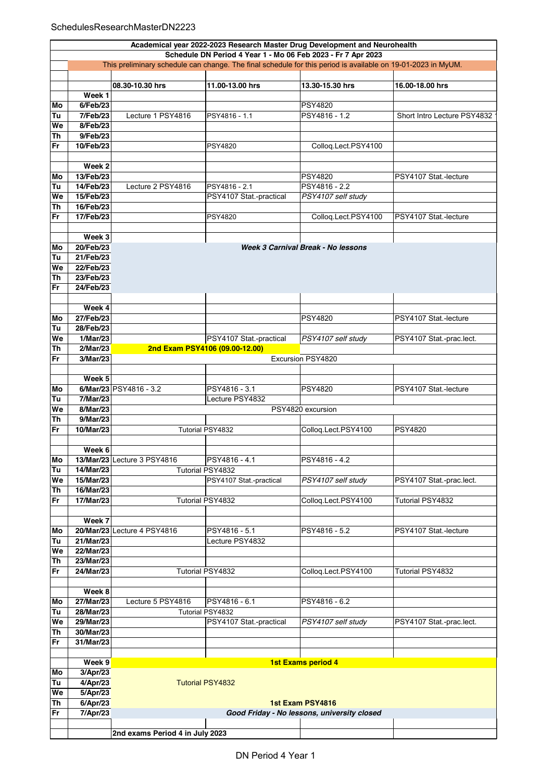|    |                                                                                                              |                                |                                                              | Academical year 2022-2023 Research Master Drug Development and Neurohealth |                             |  |  |  |
|----|--------------------------------------------------------------------------------------------------------------|--------------------------------|--------------------------------------------------------------|----------------------------------------------------------------------------|-----------------------------|--|--|--|
|    |                                                                                                              |                                | Schedule DN Period 4 Year 1 - Mo 06 Feb 2023 - Fr 7 Apr 2023 |                                                                            |                             |  |  |  |
|    | This preliminary schedule can change. The final schedule for this period is available on 19-01-2023 in MyUM. |                                |                                                              |                                                                            |                             |  |  |  |
|    |                                                                                                              |                                |                                                              |                                                                            |                             |  |  |  |
|    |                                                                                                              | 08.30-10.30 hrs                | 11.00-13.00 hrs                                              | 13.30-15.30 hrs                                                            | 16.00-18.00 hrs             |  |  |  |
|    | Week 1                                                                                                       |                                |                                                              |                                                                            |                             |  |  |  |
| Mo | 6/Feb/23                                                                                                     |                                |                                                              | <b>PSY4820</b>                                                             |                             |  |  |  |
| Tu | 7/Feb/23                                                                                                     | Lecture 1 PSY4816              | PSY4816 - 1.1                                                | PSY4816 - 1.2                                                              | Short Intro Lecture PSY4832 |  |  |  |
| We | 8/Feb/23                                                                                                     |                                |                                                              |                                                                            |                             |  |  |  |
| Th | 9/Feb/23                                                                                                     |                                |                                                              |                                                                            |                             |  |  |  |
| Fr | 10/Feb/23                                                                                                    |                                | <b>PSY4820</b>                                               | Colloq.Lect.PSY4100                                                        |                             |  |  |  |
|    |                                                                                                              |                                |                                                              |                                                                            |                             |  |  |  |
|    | Week 2                                                                                                       |                                |                                                              |                                                                            |                             |  |  |  |
| Mo | 13/Feb/23                                                                                                    |                                |                                                              | <b>PSY4820</b>                                                             | PSY4107 Stat.-lecture       |  |  |  |
| Tu | 14/Feb/23                                                                                                    | Lecture 2 PSY4816              | PSY4816 - 2.1                                                | PSY4816 - 2.2                                                              |                             |  |  |  |
| We | 15/Feb/23                                                                                                    |                                | PSY4107 Stat.-practical                                      | PSY4107 self study                                                         |                             |  |  |  |
| Th | 16/Feb/23                                                                                                    |                                |                                                              |                                                                            |                             |  |  |  |
| Fr | 17/Feb/23                                                                                                    |                                | PSY4820                                                      | Colloq.Lect.PSY4100                                                        | PSY4107 Stat.-lecture       |  |  |  |
|    |                                                                                                              |                                |                                                              |                                                                            |                             |  |  |  |
|    | Week 3                                                                                                       |                                |                                                              |                                                                            |                             |  |  |  |
| Mo | 20/Feb/23                                                                                                    |                                |                                                              | Week 3 Carnival Break - No lessons                                         |                             |  |  |  |
| Tu | 21/Feb/23                                                                                                    |                                |                                                              |                                                                            |                             |  |  |  |
| We | 22/Feb/23                                                                                                    |                                |                                                              |                                                                            |                             |  |  |  |
| Th | 23/Feb/23                                                                                                    |                                |                                                              |                                                                            |                             |  |  |  |
| Fr | 24/Feb/23                                                                                                    |                                |                                                              |                                                                            |                             |  |  |  |
|    |                                                                                                              |                                |                                                              |                                                                            |                             |  |  |  |
|    | Week 4                                                                                                       |                                |                                                              |                                                                            |                             |  |  |  |
| Mo | 27/Feb/23                                                                                                    |                                |                                                              | <b>PSY4820</b>                                                             | PSY4107 Stat.-lecture       |  |  |  |
| Tu | 28/Feb/23                                                                                                    |                                |                                                              |                                                                            |                             |  |  |  |
| We | 1/Mar/23                                                                                                     |                                | PSY4107 Stat.-practical                                      | PSY4107 self study                                                         | PSY4107 Stat.-prac.lect.    |  |  |  |
| Th | 2/Mar/23                                                                                                     | 2nd Exam PSY4106 (09.00-12.00) |                                                              |                                                                            |                             |  |  |  |
| Fr | 3/Mar/23                                                                                                     | Excursion PSY4820              |                                                              |                                                                            |                             |  |  |  |
|    |                                                                                                              |                                |                                                              |                                                                            |                             |  |  |  |
|    | Week 5                                                                                                       |                                |                                                              |                                                                            |                             |  |  |  |
| Mo |                                                                                                              | 6/Mar/23 PSY4816 - 3.2         | PSY4816 - 3.1                                                | <b>PSY4820</b>                                                             | PSY4107 Stat.-lecture       |  |  |  |
| Tu | 7/Mar/23                                                                                                     |                                | Lecture PSY4832                                              |                                                                            |                             |  |  |  |
| We | 8/Mar/23                                                                                                     |                                |                                                              | PSY4820 excursion                                                          |                             |  |  |  |
| Th | 9/Mar/23                                                                                                     |                                |                                                              |                                                                            |                             |  |  |  |
| Fr | 10/Mar/23                                                                                                    |                                | Tutorial PSY4832                                             | Colloq.Lect.PSY4100                                                        | <b>PSY4820</b>              |  |  |  |
|    |                                                                                                              |                                |                                                              |                                                                            |                             |  |  |  |
|    | Week 6                                                                                                       |                                |                                                              |                                                                            |                             |  |  |  |
| Mo |                                                                                                              | 13/Mar/23 Lecture 3 PSY4816    | PSY4816 - 4.1                                                | PSY4816-4.2                                                                |                             |  |  |  |
| Tu | 14/Mar/23                                                                                                    |                                | Tutorial PSY4832                                             |                                                                            |                             |  |  |  |
| We | 15/Mar/23                                                                                                    |                                | PSY4107 Stat.-practical                                      | PSY4107 self study                                                         | PSY4107 Stat.-prac.lect.    |  |  |  |
| Th | 16/Mar/23                                                                                                    |                                |                                                              |                                                                            |                             |  |  |  |
| Fr | 17/Mar/23                                                                                                    |                                | Tutorial PSY4832                                             | Colloq.Lect.PSY4100                                                        | Tutorial PSY4832            |  |  |  |
|    |                                                                                                              |                                |                                                              |                                                                            |                             |  |  |  |
|    | Week 7                                                                                                       |                                |                                                              |                                                                            |                             |  |  |  |
| Mo |                                                                                                              | 20/Mar/23 Lecture 4 PSY4816    | PSY4816 - 5.1                                                | PSY4816 - 5.2                                                              | PSY4107 Stat.-lecture       |  |  |  |
| Tu | 21/Mar/23                                                                                                    |                                | Lecture PSY4832                                              |                                                                            |                             |  |  |  |
| We | 22/Mar/23                                                                                                    |                                |                                                              |                                                                            |                             |  |  |  |
| Th | 23/Mar/23                                                                                                    |                                |                                                              |                                                                            |                             |  |  |  |
| Fr | 24/Mar/23                                                                                                    |                                | Tutorial PSY4832                                             | Colloq.Lect.PSY4100                                                        | Tutorial PSY4832            |  |  |  |
|    |                                                                                                              |                                |                                                              |                                                                            |                             |  |  |  |
|    | Week 8                                                                                                       |                                |                                                              |                                                                            |                             |  |  |  |
| Mo | 27/Mar/23                                                                                                    | Lecture 5 PSY4816              | PSY4816 - 6.1                                                | PSY4816 - 6.2                                                              |                             |  |  |  |
| Tu | 28/Mar/23                                                                                                    |                                | Tutorial PSY4832                                             |                                                                            |                             |  |  |  |
| We | 29/Mar/23                                                                                                    |                                | PSY4107 Stat.-practical                                      | PSY4107 self study                                                         | PSY4107 Stat.-prac.lect.    |  |  |  |
| Th | 30/Mar/23                                                                                                    |                                |                                                              |                                                                            |                             |  |  |  |
| Fr | 31/Mar/23                                                                                                    |                                |                                                              |                                                                            |                             |  |  |  |
|    |                                                                                                              |                                |                                                              |                                                                            |                             |  |  |  |
|    | Week 9                                                                                                       |                                |                                                              | <b>1st Exams period 4</b>                                                  |                             |  |  |  |
| Mo | 3/Apr/23                                                                                                     |                                |                                                              |                                                                            |                             |  |  |  |
| Tu | 4/Apr/23                                                                                                     |                                | <b>Tutorial PSY4832</b>                                      |                                                                            |                             |  |  |  |
| We | 5/Apr/23                                                                                                     |                                |                                                              |                                                                            |                             |  |  |  |
| Th | 6/Apr/23                                                                                                     |                                |                                                              | 1st Exam PSY4816                                                           |                             |  |  |  |
| Fr | 7/Apr/23                                                                                                     |                                |                                                              | Good Friday - No lessons, university closed                                |                             |  |  |  |
|    |                                                                                                              |                                |                                                              |                                                                            |                             |  |  |  |
|    |                                                                                                              |                                | 2nd exams Period 4 in July 2023                              |                                                                            |                             |  |  |  |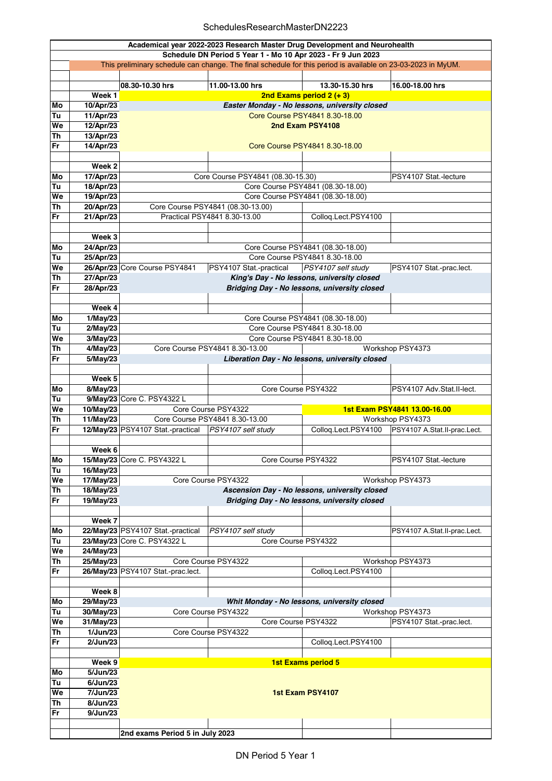## SchedulesResearchMasterDN2223

|           | Academical year 2022-2023 Research Master Drug Development and Neurohealth                                   |                                                                                               |                                                            |                                               |                              |  |  |  |
|-----------|--------------------------------------------------------------------------------------------------------------|-----------------------------------------------------------------------------------------------|------------------------------------------------------------|-----------------------------------------------|------------------------------|--|--|--|
|           | Schedule DN Period 5 Year 1 - Mo 10 Apr 2023 - Fr 9 Jun 2023                                                 |                                                                                               |                                                            |                                               |                              |  |  |  |
|           | This preliminary schedule can change. The final schedule for this period is available on 23-03-2023 in MyUM. |                                                                                               |                                                            |                                               |                              |  |  |  |
|           |                                                                                                              |                                                                                               |                                                            |                                               |                              |  |  |  |
|           |                                                                                                              | 08.30-10.30 hrs                                                                               | 11.00-13.00 hrs                                            | 13.30-15.30 hrs                               | 16.00-18.00 hrs              |  |  |  |
|           | Week 1                                                                                                       |                                                                                               |                                                            | 2nd Exams period $2 (+ 3)$                    |                              |  |  |  |
| Mo        | 10/Apr/23                                                                                                    |                                                                                               |                                                            | Easter Monday - No lessons, university closed |                              |  |  |  |
| Tu        | 11/Apr/23                                                                                                    |                                                                                               |                                                            | Core Course PSY4841 8.30-18.00                |                              |  |  |  |
| We        |                                                                                                              |                                                                                               |                                                            |                                               |                              |  |  |  |
|           | 12/Apr/23                                                                                                    | 2nd Exam PSY4108                                                                              |                                                            |                                               |                              |  |  |  |
| <b>Th</b> | 13/Apr/23                                                                                                    |                                                                                               |                                                            |                                               |                              |  |  |  |
| Fr        | 14/Apr/23                                                                                                    |                                                                                               | Core Course PSY4841 8.30-18.00                             |                                               |                              |  |  |  |
|           |                                                                                                              |                                                                                               |                                                            |                                               |                              |  |  |  |
|           | Week 2                                                                                                       |                                                                                               |                                                            |                                               |                              |  |  |  |
| Mo        | 17/Apr/23                                                                                                    |                                                                                               | Core Course PSY4841 (08.30-15.30)<br>PSY4107 Stat.-lecture |                                               |                              |  |  |  |
| Tu        | 18/Apr/23                                                                                                    |                                                                                               |                                                            | Core Course PSY4841 (08.30-18.00)             |                              |  |  |  |
| We        | 19/Apr/23                                                                                                    |                                                                                               | Core Course PSY4841 (08.30-18.00)                          |                                               |                              |  |  |  |
| <b>Th</b> | 20/Apr/23                                                                                                    |                                                                                               | Core Course PSY4841 (08.30-13.00)                          |                                               |                              |  |  |  |
| Fr        | 21/Apr/23                                                                                                    |                                                                                               | Practical PSY4841 8.30-13.00                               | Colloq.Lect.PSY4100                           |                              |  |  |  |
|           |                                                                                                              |                                                                                               |                                                            |                                               |                              |  |  |  |
|           | Week 3                                                                                                       |                                                                                               |                                                            |                                               |                              |  |  |  |
|           |                                                                                                              |                                                                                               |                                                            |                                               |                              |  |  |  |
| Mo        | 24/Apr/23                                                                                                    |                                                                                               |                                                            | Core Course PSY4841 (08.30-18.00)             |                              |  |  |  |
| Tu        | 25/Apr/23                                                                                                    |                                                                                               |                                                            | Core Course PSY4841 8.30-18.00                |                              |  |  |  |
| We        |                                                                                                              | 26/Apr/23 Core Course PSY4841                                                                 | PSY4107 Stat.-practical                                    | PSY4107 self study                            | PSY4107 Stat -prac.lect.     |  |  |  |
| <b>Th</b> | 27/Apr/23                                                                                                    |                                                                                               |                                                            | King's Day - No lessons, university closed    |                              |  |  |  |
| Fr        | 28/Apr/23                                                                                                    |                                                                                               |                                                            | Bridging Day - No lessons, university closed  |                              |  |  |  |
|           |                                                                                                              |                                                                                               |                                                            |                                               |                              |  |  |  |
|           | Week 4                                                                                                       |                                                                                               |                                                            |                                               |                              |  |  |  |
| Mo        | 1/May/23                                                                                                     |                                                                                               |                                                            | Core Course PSY4841 (08.30-18.00)             |                              |  |  |  |
| Tu        | 2/May/23                                                                                                     |                                                                                               |                                                            | Core Course PSY4841 8.30-18.00                |                              |  |  |  |
| We        | 3/May/23                                                                                                     |                                                                                               |                                                            | Core Course PSY4841 8.30-18.00                |                              |  |  |  |
| <b>Th</b> | $4$ /May/23                                                                                                  |                                                                                               | Core Course PSY4841 8.30-13.00                             |                                               |                              |  |  |  |
| Fr        | 5/May/23                                                                                                     | Workshop PSY4373<br>Liberation Day - No lessons, university closed                            |                                                            |                                               |                              |  |  |  |
|           |                                                                                                              |                                                                                               |                                                            |                                               |                              |  |  |  |
|           |                                                                                                              |                                                                                               |                                                            |                                               |                              |  |  |  |
|           | Week 5                                                                                                       |                                                                                               |                                                            |                                               |                              |  |  |  |
| Mo        | 8/May/23                                                                                                     |                                                                                               | Core Course PSY4322                                        |                                               | PSY4107 Adv.Stat.II-lect.    |  |  |  |
| Tu        |                                                                                                              | 9/May/23 Core C. PSY4322 L                                                                    |                                                            |                                               |                              |  |  |  |
| We        | 10/May/23                                                                                                    |                                                                                               | Core Course PSY4322                                        |                                               | 1st Exam PSY4841 13.00-16.00 |  |  |  |
| <b>Th</b> | 11/May/23                                                                                                    |                                                                                               | Core Course PSY4841 8.30-13.00                             |                                               | Workshop PSY4373             |  |  |  |
| Fr        |                                                                                                              | 12/May/23 PSY4107 Stat.-practical                                                             | PSY4107 self study                                         | Collog.Lect.PSY4100                           | PSY4107 A.Stat.II-prac.Lect. |  |  |  |
|           |                                                                                                              |                                                                                               |                                                            |                                               |                              |  |  |  |
|           | Week 6                                                                                                       |                                                                                               |                                                            |                                               |                              |  |  |  |
| Mo        |                                                                                                              | 15/May/23 Core C. PSY4322 L                                                                   | Core Course PSY4322                                        |                                               | PSY4107 Stat.-lecture        |  |  |  |
| Tu        | 16/May/23                                                                                                    |                                                                                               |                                                            |                                               |                              |  |  |  |
| We        | 17/May/23                                                                                                    | Core Course PSY4322<br>Workshop PSY4373                                                       |                                                            |                                               |                              |  |  |  |
| Th        | 18/May/23                                                                                                    |                                                                                               |                                                            |                                               |                              |  |  |  |
| Fr        | 19/May/23                                                                                                    | Ascension Day - No lessons, university closed<br>Bridging Day - No lessons, university closed |                                                            |                                               |                              |  |  |  |
|           |                                                                                                              |                                                                                               |                                                            |                                               |                              |  |  |  |
|           | Week 7                                                                                                       |                                                                                               |                                                            |                                               |                              |  |  |  |
| Mo        |                                                                                                              | 22/May/23 PSY4107 Stat.-practical                                                             | PSY4107 self study                                         |                                               | PSY4107 A.Stat.II-prac.Lect. |  |  |  |
|           |                                                                                                              |                                                                                               |                                                            |                                               |                              |  |  |  |
| Tu        |                                                                                                              | 23/May/23 Core C. PSY4322 L                                                                   | Core Course PSY4322                                        |                                               |                              |  |  |  |
| We        | 24/May/23                                                                                                    |                                                                                               |                                                            |                                               |                              |  |  |  |
| Th        | 25/May/23                                                                                                    |                                                                                               | Core Course PSY4322                                        |                                               | Workshop PSY4373             |  |  |  |
| Fr        |                                                                                                              | 26/May/23 PSY4107 Stat.-prac.lect.                                                            |                                                            | Colloq.Lect.PSY4100                           |                              |  |  |  |
|           |                                                                                                              |                                                                                               |                                                            |                                               |                              |  |  |  |
|           | Week 8                                                                                                       |                                                                                               |                                                            |                                               |                              |  |  |  |
| Mo        | 29/May/23                                                                                                    |                                                                                               |                                                            | Whit Monday - No lessons, university closed   |                              |  |  |  |
| Tu        | 30/May/23                                                                                                    |                                                                                               | Core Course PSY4322                                        |                                               | Workshop PSY4373             |  |  |  |
| We        | 31/May/23                                                                                                    | Core Course PSY4322<br>PSY4107 Stat.-prac.lect.                                               |                                                            |                                               |                              |  |  |  |
| Th        | 1/Jun/23                                                                                                     |                                                                                               | Core Course PSY4322                                        |                                               |                              |  |  |  |
| Fr        | 2/Jun/23                                                                                                     |                                                                                               |                                                            | Colloq.Lect.PSY4100                           |                              |  |  |  |
|           |                                                                                                              |                                                                                               |                                                            |                                               |                              |  |  |  |
|           | Week 9                                                                                                       |                                                                                               |                                                            | <b>1st Exams period 5</b>                     |                              |  |  |  |
| Mo        | 5/Jun/23                                                                                                     |                                                                                               |                                                            |                                               |                              |  |  |  |
| Tu        | 6/Jun/23                                                                                                     |                                                                                               |                                                            |                                               |                              |  |  |  |
|           |                                                                                                              |                                                                                               |                                                            |                                               |                              |  |  |  |
| We        | 7/Jun/23                                                                                                     |                                                                                               |                                                            | 1st Exam PSY4107                              |                              |  |  |  |
| <b>Th</b> | 8/Jun/23                                                                                                     |                                                                                               |                                                            |                                               |                              |  |  |  |
| Fr        | 9/Jun/23                                                                                                     |                                                                                               |                                                            |                                               |                              |  |  |  |
|           |                                                                                                              |                                                                                               |                                                            |                                               |                              |  |  |  |
|           |                                                                                                              | 2nd exams Period 5 in July 2023                                                               |                                                            |                                               |                              |  |  |  |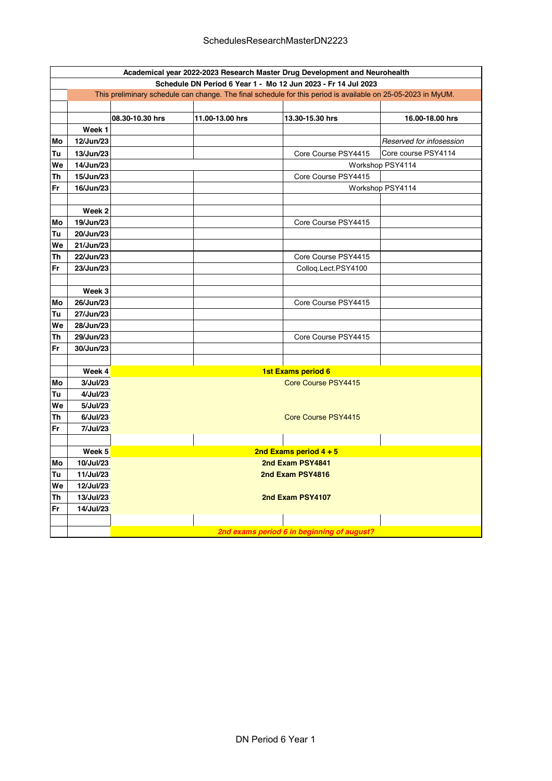|                                        | Academical year 2022-2023 Research Master Drug Development and Neurohealth                                   |                 |                 |                          |                          |  |  |  |
|----------------------------------------|--------------------------------------------------------------------------------------------------------------|-----------------|-----------------|--------------------------|--------------------------|--|--|--|
|                                        | Schedule DN Period 6 Year 1 - Mo 12 Jun 2023 - Fr 14 Jul 2023                                                |                 |                 |                          |                          |  |  |  |
|                                        | This preliminary schedule can change. The final schedule for this period is available on 25-05-2023 in MyUM. |                 |                 |                          |                          |  |  |  |
|                                        |                                                                                                              |                 |                 |                          |                          |  |  |  |
|                                        |                                                                                                              | 08.30-10.30 hrs | 11.00-13.00 hrs | 13.30-15.30 hrs          | 16.00-18.00 hrs          |  |  |  |
|                                        | Week 1                                                                                                       |                 |                 |                          |                          |  |  |  |
| Mo                                     | 12/Jun/23                                                                                                    |                 |                 |                          | Reserved for infosession |  |  |  |
| Tu                                     | 13/Jun/23                                                                                                    |                 |                 | Core Course PSY4415      | Core course PSY4114      |  |  |  |
| We                                     | 14/Jun/23                                                                                                    |                 |                 |                          | Workshop PSY4114         |  |  |  |
| Th                                     | 15/Jun/23                                                                                                    |                 |                 | Core Course PSY4415      |                          |  |  |  |
| Fr                                     | 16/Jun/23                                                                                                    |                 |                 |                          | Workshop PSY4114         |  |  |  |
|                                        |                                                                                                              |                 |                 |                          |                          |  |  |  |
|                                        | Week <sub>2</sub>                                                                                            |                 |                 |                          |                          |  |  |  |
| Mo                                     | 19/Jun/23                                                                                                    |                 |                 | Core Course PSY4415      |                          |  |  |  |
| Tu                                     | 20/Jun/23                                                                                                    |                 |                 |                          |                          |  |  |  |
| We                                     | 21/Jun/23                                                                                                    |                 |                 |                          |                          |  |  |  |
| 22/Jun/23<br>Th<br>Core Course PSY4415 |                                                                                                              |                 |                 |                          |                          |  |  |  |
| 23/Jun/23<br>Fr<br>Colloq.Lect.PSY4100 |                                                                                                              |                 |                 |                          |                          |  |  |  |
|                                        |                                                                                                              |                 |                 |                          |                          |  |  |  |
|                                        | Week 3                                                                                                       |                 |                 |                          |                          |  |  |  |
| Mo                                     | 26/Jun/23                                                                                                    |                 |                 | Core Course PSY4415      |                          |  |  |  |
| Tu                                     | 27/Jun/23                                                                                                    |                 |                 |                          |                          |  |  |  |
| We                                     | 28/Jun/23                                                                                                    |                 |                 |                          |                          |  |  |  |
| Th                                     | 29/Jun/23                                                                                                    |                 |                 | Core Course PSY4415      |                          |  |  |  |
| Fr                                     | 30/Jun/23                                                                                                    |                 |                 |                          |                          |  |  |  |
|                                        |                                                                                                              |                 |                 |                          |                          |  |  |  |
|                                        | Week 4                                                                                                       |                 |                 | 1st Exams period 6       |                          |  |  |  |
| Mo                                     | 3/Jul/23                                                                                                     |                 |                 | Core Course PSY4415      |                          |  |  |  |
| Tu                                     | 4/Jul/23                                                                                                     |                 |                 |                          |                          |  |  |  |
| We                                     | 5/Jul/23                                                                                                     |                 |                 |                          |                          |  |  |  |
| Th                                     | 6/Jul/23                                                                                                     |                 |                 | Core Course PSY4415      |                          |  |  |  |
| Fr                                     | 7/Jul/23                                                                                                     |                 |                 |                          |                          |  |  |  |
|                                        |                                                                                                              |                 |                 |                          |                          |  |  |  |
|                                        | Week 5                                                                                                       |                 |                 | 2nd Exams period $4 + 5$ |                          |  |  |  |
| Mo                                     | 10/Jul/23                                                                                                    |                 |                 | 2nd Exam PSY4841         |                          |  |  |  |
| Tu<br>We                               | 11/Jul/23<br>12/Jul/23                                                                                       |                 |                 | 2nd Exam PSY4816         |                          |  |  |  |
| Th                                     | 13/Jul/23                                                                                                    |                 |                 |                          |                          |  |  |  |
| Fr                                     |                                                                                                              |                 |                 | 2nd Exam PSY4107         |                          |  |  |  |
|                                        | 14/Jul/23                                                                                                    |                 |                 |                          |                          |  |  |  |
|                                        |                                                                                                              |                 |                 |                          |                          |  |  |  |
|                                        | 2nd exams period 6 in beginning of august?                                                                   |                 |                 |                          |                          |  |  |  |